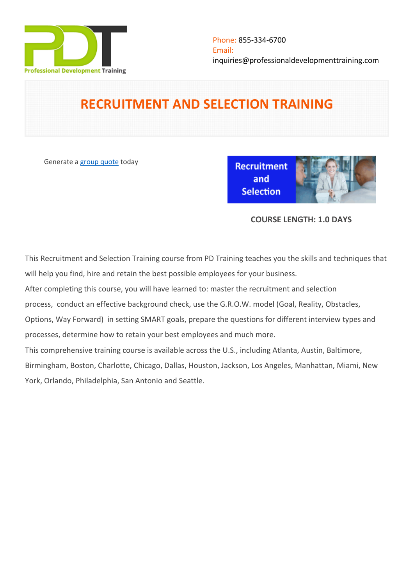

# **RECRUITMENT AND SELECTION TRAINING**

Generate a [group quote](https://professionaldevelopmenttraining.com/inhouse-training-quote?cse=PDTRS01) today

**Recruitment** and **Selection** 



## **COURSE LENGTH: 1.0 DAYS**

This Recruitment and Selection Training course from PD Training teaches you the skills and techniques that will help you find, hire and retain the best possible employees for your business.

After completing this course, you will have learned to: master the recruitment and selection

process, conduct an effective background check, use the G.R.O.W. model (Goal, Reality, Obstacles,

Options, Way Forward) in setting SMART goals, prepare the questions for different interview types and processes, determine how to retain your best employees and much more.

This comprehensive training course is available across the U.S., including Atlanta, Austin, Baltimore,

Birmingham, Boston, Charlotte, Chicago, Dallas, Houston, Jackson, Los Angeles, Manhattan, Miami, New York, Orlando, Philadelphia, San Antonio and Seattle.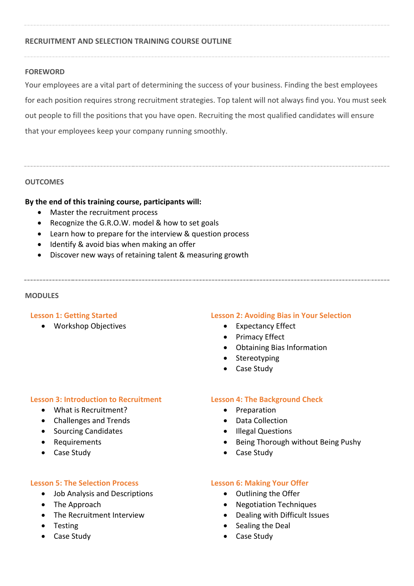### **RECRUITMENT AND SELECTION TRAINING COURSE OUTLINE**

#### **FOREWORD**

Your employees are a vital part of determining the success of your business. Finding the best employees for each position requires strong recruitment strategies. Top talent will not always find you. You must seek out people to fill the positions that you have open. Recruiting the most qualified candidates will ensure that your employees keep your company running smoothly.

#### **OUTCOMES**

#### **By the end of this training course, participants will:**

- Master the recruitment process
- Recognize the G.R.O.W. model & how to set goals
- Learn how to prepare for the interview & question process
- Identify & avoid bias when making an offer
- Discover new ways of retaining talent & measuring growth

#### **MODULES**

#### **Lesson 1: Getting Started**

Workshop Objectives

#### **Lesson 2: Avoiding Bias in Your Selection**

- Expectancy Effect
- Primacy Effect
- Obtaining Bias Information
- Stereotyping
- Case Study

#### **Lesson 3: Introduction to Recruitment**

- What is Recruitment?
- Challenges and Trends
- Sourcing Candidates
- Requirements
- Case Study

#### **Lesson 5: The Selection Process**

- Job Analysis and Descriptions
- The Approach
- The Recruitment Interview
- Testing
- Case Study

#### **Lesson 4: The Background Check**

- Preparation
- Data Collection
- Illegal Questions
- Being Thorough without Being Pushy
- Case Study

#### **Lesson 6: Making Your Offer**

- Outlining the Offer
- Negotiation Techniques
- Dealing with Difficult Issues
- Sealing the Deal
- Case Study